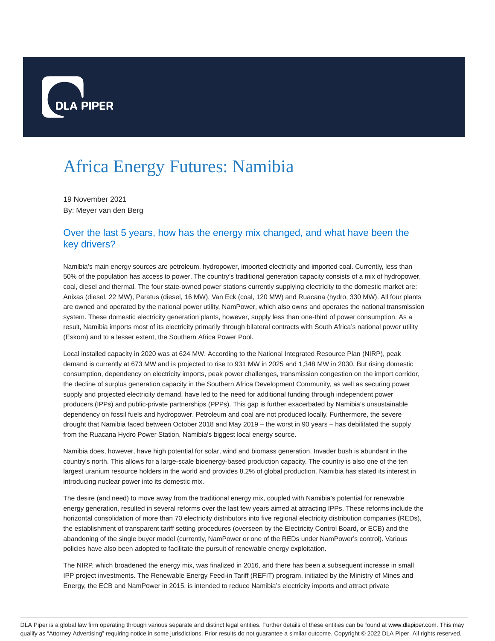

# Africa Energy Futures: Namibia

19 November 2021 By: Meyer van den Berg

## Over the last 5 years, how has the energy mix changed, and what have been the key drivers?

Namibia's main energy sources are petroleum, hydropower, imported electricity and imported coal. Currently, less than 50% of the population has access to power. The country's traditional generation capacity consists of a mix of hydropower, coal, diesel and thermal. The four state-owned power stations currently supplying electricity to the domestic market are: Anixas (diesel, 22 MW), Paratus (diesel, 16 MW), Van Eck (coal, 120 MW) and Ruacana (hydro, 330 MW). All four plants are owned and operated by the national power utility, NamPower, which also owns and operates the national transmission system. These domestic electricity generation plants, however, supply less than one-third of power consumption. As a result, Namibia imports most of its electricity primarily through bilateral contracts with South Africa's national power utility (Eskom) and to a lesser extent, the Southern Africa Power Pool.

Local installed capacity in 2020 was at 624 MW. According to the National Integrated Resource Plan (NIRP), peak demand is currently at 673 MW and is projected to rise to 931 MW in 2025 and 1,348 MW in 2030. But rising domestic consumption, dependency on electricity imports, peak power challenges, transmission congestion on the import corridor, the decline of surplus generation capacity in the Southern Africa Development Community, as well as securing power supply and projected electricity demand, have led to the need for additional funding through independent power producers (IPPs) and public-private partnerships (PPPs). This gap is further exacerbated by Namibia's unsustainable dependency on fossil fuels and hydropower. Petroleum and coal are not produced locally. Furthermore, the severe drought that Namibia faced between October 2018 and May 2019 – the worst in 90 years – has debilitated the supply from the Ruacana Hydro Power Station, Namibia's biggest local energy source.

Namibia does, however, have high potential for solar, wind and biomass generation. Invader bush is abundant in the country's north. This allows for a large-scale bioenergy-based production capacity. The country is also one of the ten largest uranium resource holders in the world and provides 8.2% of global production. Namibia has stated its interest in introducing nuclear power into its domestic mix.

The desire (and need) to move away from the traditional energy mix, coupled with Namibia's potential for renewable energy generation, resulted in several reforms over the last few years aimed at attracting IPPs. These reforms include the horizontal consolidation of more than 70 electricity distributors into five regional electricity distribution companies (REDs), the establishment of transparent tariff setting procedures (overseen by the Electricity Control Board, or ECB) and the abandoning of the single buyer model (currently, NamPower or one of the REDs under NamPower's control). Various policies have also been adopted to facilitate the pursuit of renewable energy exploitation.

The NIRP, which broadened the energy mix, was finalized in 2016, and there has been a subsequent increase in small IPP project investments. The Renewable Energy Feed-in Tariff (REFIT) program, initiated by the Ministry of Mines and Energy, the ECB and NamPower in 2015, is intended to reduce Namibia's electricity imports and attract private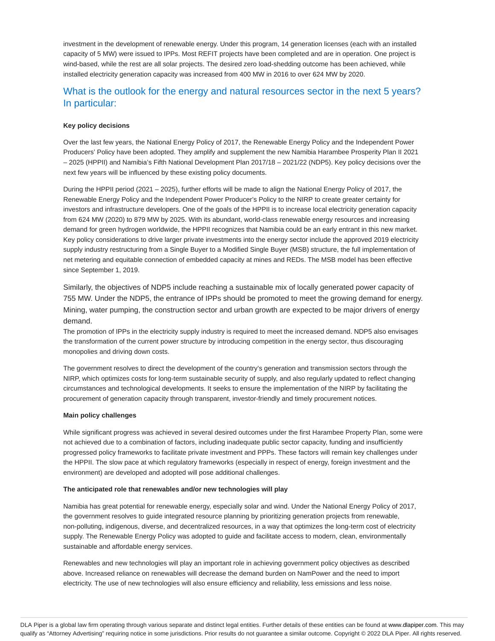investment in the development of renewable energy. Under this program, 14 generation licenses (each with an installed capacity of 5 MW) were issued to IPPs. Most REFIT projects have been completed and are in operation. One project is wind-based, while the rest are all solar projects. The desired zero load-shedding outcome has been achieved, while installed electricity generation capacity was increased from 400 MW in 2016 to over 624 MW by 2020.

## What is the outlook for the energy and natural resources sector in the next 5 years? In particular:

#### **Key policy decisions**

Over the last few years, the National Energy Policy of 2017, the Renewable Energy Policy and the Independent Power Producers' Policy have been adopted. They amplify and supplement the new Namibia Harambee Prosperity Plan II 2021 – 2025 (HPPII) and Namibia's Fifth National Development Plan 2017/18 – 2021/22 (NDP5). Key policy decisions over the next few years will be influenced by these existing policy documents.

During the HPPII period (2021 – 2025), further efforts will be made to align the National Energy Policy of 2017, the Renewable Energy Policy and the Independent Power Producer's Policy to the NIRP to create greater certainty for investors and infrastructure developers. One of the goals of the HPPII is to increase local electricity generation capacity from 624 MW (2020) to 879 MW by 2025. With its abundant, world-class renewable energy resources and increasing demand for green hydrogen worldwide, the HPPII recognizes that Namibia could be an early entrant in this new market. Key policy considerations to drive larger private investments into the energy sector include the approved 2019 electricity supply industry restructuring from a Single Buyer to a Modified Single Buyer (MSB) structure, the full implementation of net metering and equitable connection of embedded capacity at mines and REDs. The MSB model has been effective since September 1, 2019.

Similarly, the objectives of NDP5 include reaching a sustainable mix of locally generated power capacity of 755 MW. Under the NDP5, the entrance of IPPs should be promoted to meet the growing demand for energy. Mining, water pumping, the construction sector and urban growth are expected to be major drivers of energy demand.

The promotion of IPPs in the electricity supply industry is required to meet the increased demand. NDP5 also envisages the transformation of the current power structure by introducing competition in the energy sector, thus discouraging monopolies and driving down costs.

The government resolves to direct the development of the country's generation and transmission sectors through the NIRP, which optimizes costs for long-term sustainable security of supply, and also regularly updated to reflect changing circumstances and technological developments. It seeks to ensure the implementation of the NIRP by facilitating the procurement of generation capacity through transparent, investor-friendly and timely procurement notices.

#### **Main policy challenges**

While significant progress was achieved in several desired outcomes under the first Harambee Property Plan, some were not achieved due to a combination of factors, including inadequate public sector capacity, funding and insufficiently progressed policy frameworks to facilitate private investment and PPPs. These factors will remain key challenges under the HPPII. The slow pace at which regulatory frameworks (especially in respect of energy, foreign investment and the environment) are developed and adopted will pose additional challenges.

#### **The anticipated role that renewables and/or new technologies will play**

Namibia has great potential for renewable energy, especially solar and wind. Under the National Energy Policy of 2017, the government resolves to guide integrated resource planning by prioritizing generation projects from renewable, non-polluting, indigenous, diverse, and decentralized resources, in a way that optimizes the long-term cost of electricity supply. The Renewable Energy Policy was adopted to guide and facilitate access to modern, clean, environmentally sustainable and affordable energy services.

Renewables and new technologies will play an important role in achieving government policy objectives as described above. Increased reliance on renewables will decrease the demand burden on NamPower and the need to import electricity. The use of new technologies will also ensure efficiency and reliability, less emissions and less noise.